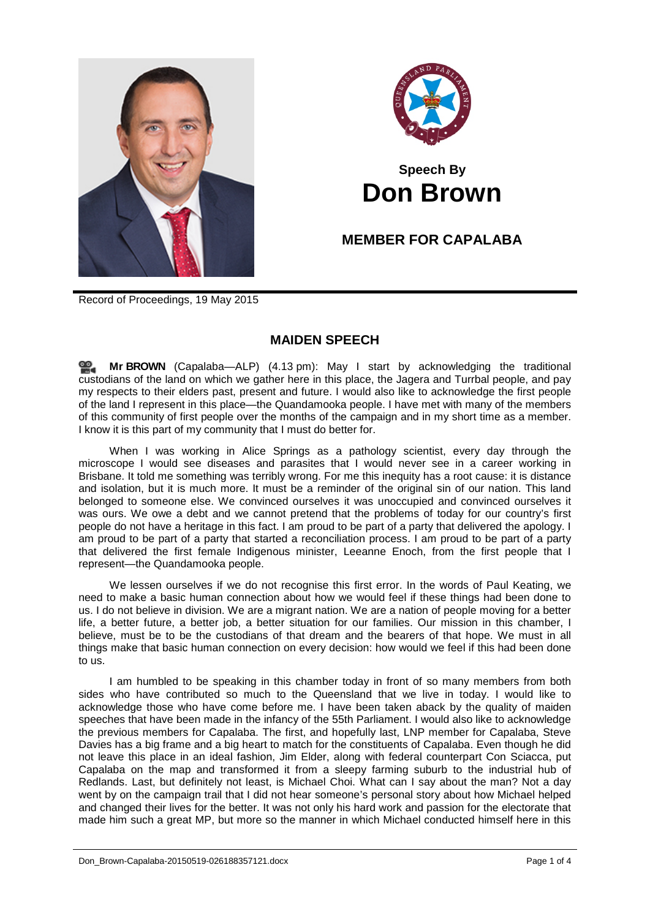



## **Speech By Don Brown**

## **MEMBER FOR CAPALABA**

Record of Proceedings, 19 May 2015

## **MAIDEN SPEECH**

**Mr [BROWN](http://www.parliament.qld.gov.au/docs/find.aspx?id=0Mba20150519_161312)** (Capalaba—ALP) (4.13 pm): May I start by acknowledging the traditional custodians of the land on which we gather here in this place, the Jagera and Turrbal people, and pay my respects to their elders past, present and future. I would also like to acknowledge the first people of the land I represent in this place—the Quandamooka people. I have met with many of the members of this community of first people over the months of the campaign and in my short time as a member. I know it is this part of my community that I must do better for.

When I was working in Alice Springs as a pathology scientist, every day through the microscope I would see diseases and parasites that I would never see in a career working in Brisbane. It told me something was terribly wrong. For me this inequity has a root cause: it is distance and isolation, but it is much more. It must be a reminder of the original sin of our nation. This land belonged to someone else. We convinced ourselves it was unoccupied and convinced ourselves it was ours. We owe a debt and we cannot pretend that the problems of today for our country's first people do not have a heritage in this fact. I am proud to be part of a party that delivered the apology. I am proud to be part of a party that started a reconciliation process. I am proud to be part of a party that delivered the first female Indigenous minister, Leeanne Enoch, from the first people that I represent—the Quandamooka people.

We lessen ourselves if we do not recognise this first error. In the words of Paul Keating, we need to make a basic human connection about how we would feel if these things had been done to us. I do not believe in division. We are a migrant nation. We are a nation of people moving for a better life, a better future, a better job, a better situation for our families. Our mission in this chamber, I believe, must be to be the custodians of that dream and the bearers of that hope. We must in all things make that basic human connection on every decision: how would we feel if this had been done to us.

I am humbled to be speaking in this chamber today in front of so many members from both sides who have contributed so much to the Queensland that we live in today. I would like to acknowledge those who have come before me. I have been taken aback by the quality of maiden speeches that have been made in the infancy of the 55th Parliament. I would also like to acknowledge the previous members for Capalaba. The first, and hopefully last, LNP member for Capalaba, Steve Davies has a big frame and a big heart to match for the constituents of Capalaba. Even though he did not leave this place in an ideal fashion, Jim Elder, along with federal counterpart Con Sciacca, put Capalaba on the map and transformed it from a sleepy farming suburb to the industrial hub of Redlands. Last, but definitely not least, is Michael Choi. What can I say about the man? Not a day went by on the campaign trail that I did not hear someone's personal story about how Michael helped and changed their lives for the better. It was not only his hard work and passion for the electorate that made him such a great MP, but more so the manner in which Michael conducted himself here in this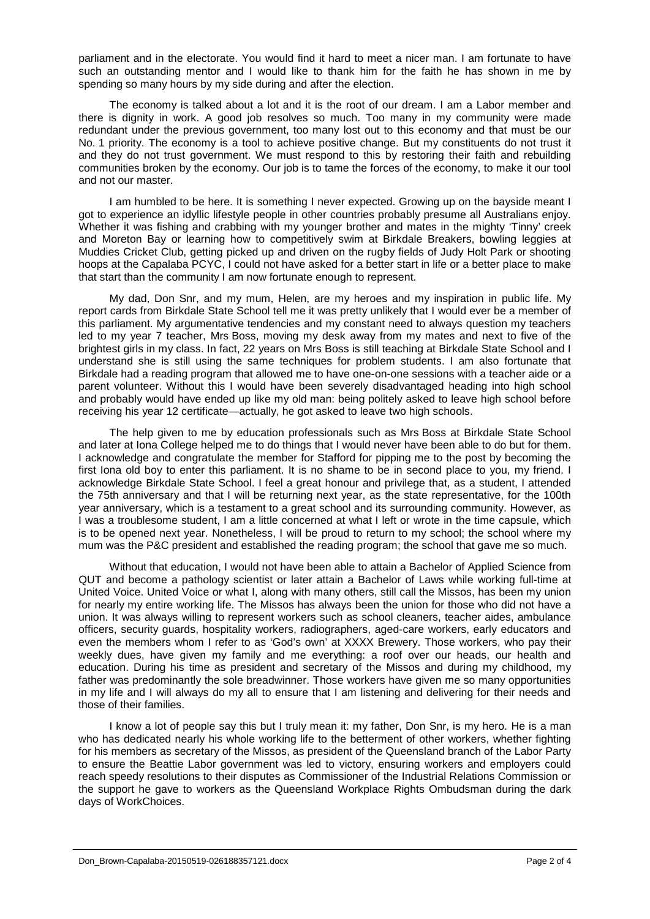parliament and in the electorate. You would find it hard to meet a nicer man. I am fortunate to have such an outstanding mentor and I would like to thank him for the faith he has shown in me by spending so many hours by my side during and after the election.

The economy is talked about a lot and it is the root of our dream. I am a Labor member and there is dignity in work. A good job resolves so much. Too many in my community were made redundant under the previous government, too many lost out to this economy and that must be our No. 1 priority. The economy is a tool to achieve positive change. But my constituents do not trust it and they do not trust government. We must respond to this by restoring their faith and rebuilding communities broken by the economy. Our job is to tame the forces of the economy, to make it our tool and not our master.

I am humbled to be here. It is something I never expected. Growing up on the bayside meant I got to experience an idyllic lifestyle people in other countries probably presume all Australians enjoy. Whether it was fishing and crabbing with my younger brother and mates in the mighty 'Tinny' creek and Moreton Bay or learning how to competitively swim at Birkdale Breakers, bowling leggies at Muddies Cricket Club, getting picked up and driven on the rugby fields of Judy Holt Park or shooting hoops at the Capalaba PCYC, I could not have asked for a better start in life or a better place to make that start than the community I am now fortunate enough to represent.

My dad, Don Snr, and my mum, Helen, are my heroes and my inspiration in public life. My report cards from Birkdale State School tell me it was pretty unlikely that I would ever be a member of this parliament. My argumentative tendencies and my constant need to always question my teachers led to my year 7 teacher, Mrs Boss, moving my desk away from my mates and next to five of the brightest girls in my class. In fact, 22 years on Mrs Boss is still teaching at Birkdale State School and I understand she is still using the same techniques for problem students. I am also fortunate that Birkdale had a reading program that allowed me to have one-on-one sessions with a teacher aide or a parent volunteer. Without this I would have been severely disadvantaged heading into high school and probably would have ended up like my old man: being politely asked to leave high school before receiving his year 12 certificate—actually, he got asked to leave two high schools.

The help given to me by education professionals such as Mrs Boss at Birkdale State School and later at Iona College helped me to do things that I would never have been able to do but for them. I acknowledge and congratulate the member for Stafford for pipping me to the post by becoming the first Iona old boy to enter this parliament. It is no shame to be in second place to you, my friend. I acknowledge Birkdale State School. I feel a great honour and privilege that, as a student, I attended the 75th anniversary and that I will be returning next year, as the state representative, for the 100th year anniversary, which is a testament to a great school and its surrounding community. However, as I was a troublesome student, I am a little concerned at what I left or wrote in the time capsule, which is to be opened next year. Nonetheless, I will be proud to return to my school; the school where my mum was the P&C president and established the reading program; the school that gave me so much.

Without that education, I would not have been able to attain a Bachelor of Applied Science from QUT and become a pathology scientist or later attain a Bachelor of Laws while working full-time at United Voice. United Voice or what I, along with many others, still call the Missos, has been my union for nearly my entire working life. The Missos has always been the union for those who did not have a union. It was always willing to represent workers such as school cleaners, teacher aides, ambulance officers, security guards, hospitality workers, radiographers, aged-care workers, early educators and even the members whom I refer to as 'God's own' at XXXX Brewery. Those workers, who pay their weekly dues, have given my family and me everything: a roof over our heads, our health and education. During his time as president and secretary of the Missos and during my childhood, my father was predominantly the sole breadwinner. Those workers have given me so many opportunities in my life and I will always do my all to ensure that I am listening and delivering for their needs and those of their families.

I know a lot of people say this but I truly mean it: my father, Don Snr, is my hero. He is a man who has dedicated nearly his whole working life to the betterment of other workers, whether fighting for his members as secretary of the Missos, as president of the Queensland branch of the Labor Party to ensure the Beattie Labor government was led to victory, ensuring workers and employers could reach speedy resolutions to their disputes as Commissioner of the Industrial Relations Commission or the support he gave to workers as the Queensland Workplace Rights Ombudsman during the dark days of WorkChoices.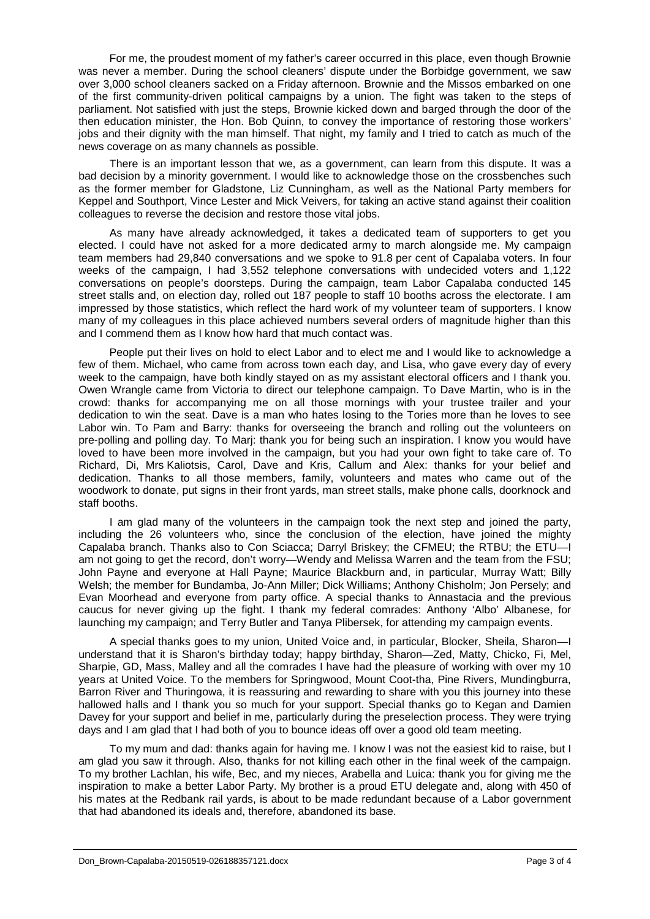For me, the proudest moment of my father's career occurred in this place, even though Brownie was never a member. During the school cleaners' dispute under the Borbidge government, we saw over 3,000 school cleaners sacked on a Friday afternoon. Brownie and the Missos embarked on one of the first community-driven political campaigns by a union. The fight was taken to the steps of parliament. Not satisfied with just the steps, Brownie kicked down and barged through the door of the then education minister, the Hon. Bob Quinn, to convey the importance of restoring those workers' jobs and their dignity with the man himself. That night, my family and I tried to catch as much of the news coverage on as many channels as possible.

There is an important lesson that we, as a government, can learn from this dispute. It was a bad decision by a minority government. I would like to acknowledge those on the crossbenches such as the former member for Gladstone, Liz Cunningham, as well as the National Party members for Keppel and Southport, Vince Lester and Mick Veivers, for taking an active stand against their coalition colleagues to reverse the decision and restore those vital jobs.

As many have already acknowledged, it takes a dedicated team of supporters to get you elected. I could have not asked for a more dedicated army to march alongside me. My campaign team members had 29,840 conversations and we spoke to 91.8 per cent of Capalaba voters. In four weeks of the campaign, I had 3,552 telephone conversations with undecided voters and 1,122 conversations on people's doorsteps. During the campaign, team Labor Capalaba conducted 145 street stalls and, on election day, rolled out 187 people to staff 10 booths across the electorate. I am impressed by those statistics, which reflect the hard work of my volunteer team of supporters. I know many of my colleagues in this place achieved numbers several orders of magnitude higher than this and I commend them as I know how hard that much contact was.

People put their lives on hold to elect Labor and to elect me and I would like to acknowledge a few of them. Michael, who came from across town each day, and Lisa, who gave every day of every week to the campaign, have both kindly stayed on as my assistant electoral officers and I thank you. Owen Wrangle came from Victoria to direct our telephone campaign. To Dave Martin, who is in the crowd: thanks for accompanying me on all those mornings with your trustee trailer and your dedication to win the seat. Dave is a man who hates losing to the Tories more than he loves to see Labor win. To Pam and Barry: thanks for overseeing the branch and rolling out the volunteers on pre-polling and polling day. To Marj: thank you for being such an inspiration. I know you would have loved to have been more involved in the campaign, but you had your own fight to take care of. To Richard, Di, Mrs Kaliotsis, Carol, Dave and Kris, Callum and Alex: thanks for your belief and dedication. Thanks to all those members, family, volunteers and mates who came out of the woodwork to donate, put signs in their front yards, man street stalls, make phone calls, doorknock and staff booths.

I am glad many of the volunteers in the campaign took the next step and joined the party, including the 26 volunteers who, since the conclusion of the election, have joined the mighty Capalaba branch. Thanks also to Con Sciacca; Darryl Briskey; the CFMEU; the RTBU; the ETU—I am not going to get the record, don't worry—Wendy and Melissa Warren and the team from the FSU; John Payne and everyone at Hall Payne; Maurice Blackburn and, in particular, Murray Watt; Billy Welsh; the member for Bundamba, Jo-Ann Miller; Dick Williams; Anthony Chisholm; Jon Persely; and Evan Moorhead and everyone from party office. A special thanks to Annastacia and the previous caucus for never giving up the fight. I thank my federal comrades: Anthony 'Albo' Albanese, for launching my campaign; and Terry Butler and Tanya Plibersek, for attending my campaign events.

A special thanks goes to my union, United Voice and, in particular, Blocker, Sheila, Sharon—I understand that it is Sharon's birthday today; happy birthday, Sharon—Zed, Matty, Chicko, Fi, Mel, Sharpie, GD, Mass, Malley and all the comrades I have had the pleasure of working with over my 10 years at United Voice. To the members for Springwood, Mount Coot-tha, Pine Rivers, Mundingburra, Barron River and Thuringowa, it is reassuring and rewarding to share with you this journey into these hallowed halls and I thank you so much for your support. Special thanks go to Kegan and Damien Davey for your support and belief in me, particularly during the preselection process. They were trying days and I am glad that I had both of you to bounce ideas off over a good old team meeting.

To my mum and dad: thanks again for having me. I know I was not the easiest kid to raise, but I am glad you saw it through. Also, thanks for not killing each other in the final week of the campaign. To my brother Lachlan, his wife, Bec, and my nieces, Arabella and Luica: thank you for giving me the inspiration to make a better Labor Party. My brother is a proud ETU delegate and, along with 450 of his mates at the Redbank rail yards, is about to be made redundant because of a Labor government that had abandoned its ideals and, therefore, abandoned its base.